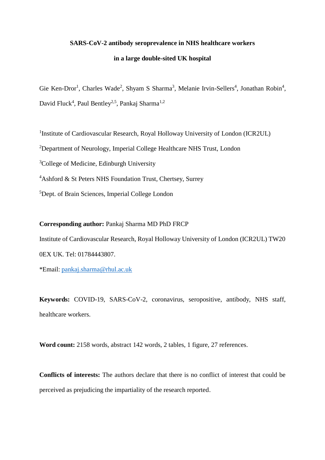# **SARS-CoV-2 antibody seroprevalence in NHS healthcare workers in a large double-sited UK hospital**

Gie Ken-Dror<sup>1</sup>, Charles Wade<sup>2</sup>, Shyam S Sharma<sup>3</sup>, Melanie Irvin-Sellers<sup>4</sup>, Jonathan Robin<sup>4</sup>, David Fluck<sup>4</sup>, Paul Bentley<sup>2,5</sup>, Pankaj Sharma<sup>1,2</sup>

<sup>1</sup>Institute of Cardiovascular Research, Royal Holloway University of London (ICR2UL) <sup>2</sup>Department of Neurology, Imperial College Healthcare NHS Trust, London <sup>3</sup>College of Medicine, Edinburgh University <sup>4</sup>Ashford & St Peters NHS Foundation Trust, Chertsey, Surrey <sup>5</sup>Dept. of Brain Sciences, Imperial College London

**Corresponding author:** Pankaj Sharma MD PhD FRCP

Institute of Cardiovascular Research, Royal Holloway University of London (ICR2UL) TW20 0EX UK. Tel: 01784443807.

\*Email: [pankaj.sharma@rhul.ac.uk](mailto:gie.kendror@rhul.ac.uk)

**Keywords:** COVID-19, SARS-CoV-2, coronavirus, seropositive, antibody, NHS staff, healthcare workers.

**Word count:** 2158 words, abstract 142 words, 2 tables, 1 figure, 27 references.

**Conflicts of interests:** The authors declare that there is no conflict of interest that could be perceived as prejudicing the impartiality of the research reported.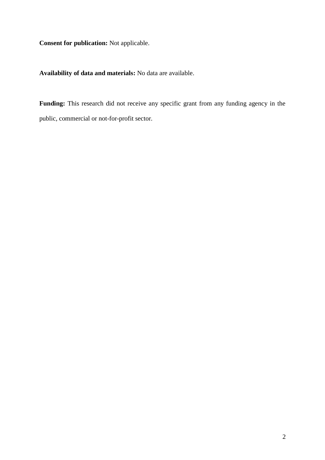**Consent for publication:** Not applicable.

**Availability of data and materials:** No data are available.

**Funding:** This research did not receive any specific grant from any funding agency in the public, commercial or not-for-profit sector.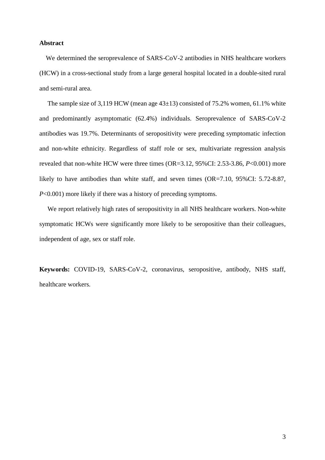#### **Abstract**

 We determined the seroprevalence of SARS-CoV-2 antibodies in NHS healthcare workers (HCW) in a cross-sectional study from a large general hospital located in a double-sited rural and semi-rural area.

The sample size of 3,119 HCW (mean age  $43\pm13$ ) consisted of 75.2% women, 61.1% white and predominantly asymptomatic (62.4%) individuals. Seroprevalence of SARS-CoV-2 antibodies was 19.7%. Determinants of seropositivity were preceding symptomatic infection and non-white ethnicity. Regardless of staff role or sex, multivariate regression analysis revealed that non-white HCW were three times (OR=3.12, 95%CI: 2.53-3.86, *P*<0.001) more likely to have antibodies than white staff, and seven times (OR=7.10, 95%CI: 5.72-8.87, *P*<0.001) more likely if there was a history of preceding symptoms.

We report relatively high rates of seropositivity in all NHS healthcare workers. Non-white symptomatic HCWs were significantly more likely to be seropositive than their colleagues, independent of age, sex or staff role.

**Keywords:** COVID-19, SARS-CoV-2, coronavirus, seropositive, antibody, NHS staff, healthcare workers.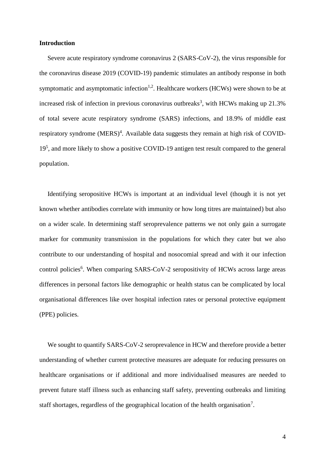#### **Introduction**

 Severe acute respiratory syndrome coronavirus 2 (SARS-CoV-2), the virus responsible for the coronavirus disease 2019 (COVID-19) pandemic stimulates an antibody response in both symptomatic and asymptomatic infection<sup>1,2</sup>. Healthcare workers (HCWs) were shown to be at increased risk of infection in previous coronavirus outbreaks<sup>3</sup>, with HCWs making up 21.3% of total severe acute respiratory syndrome (SARS) infections, and 18.9% of middle east respiratory syndrome  $(MERS)^4$ . Available data suggests they remain at high risk of COVID-19<sup>5</sup>, and more likely to show a positive COVID-19 antigen test result compared to the general population.

 Identifying seropositive HCWs is important at an individual level (though it is not yet known whether antibodies correlate with immunity or how long titres are maintained) but also on a wider scale. In determining staff seroprevalence patterns we not only gain a surrogate marker for community transmission in the populations for which they cater but we also contribute to our understanding of hospital and nosocomial spread and with it our infection control policies<sup>6</sup>. When comparing SARS-CoV-2 seropositivity of HCWs across large areas differences in personal factors like demographic or health status can be complicated by local organisational differences like over hospital infection rates or personal protective equipment (PPE) policies.

We sought to quantify SARS-CoV-2 seroprevalence in HCW and therefore provide a better understanding of whether current protective measures are adequate for reducing pressures on healthcare organisations or if additional and more individualised measures are needed to prevent future staff illness such as enhancing staff safety, preventing outbreaks and limiting staff shortages, regardless of the geographical location of the health organisation<sup>7</sup>.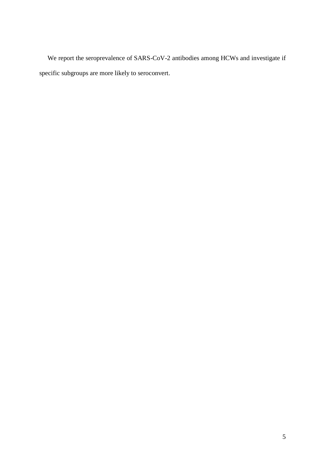We report the seroprevalence of SARS-CoV-2 antibodies among HCWs and investigate if specific subgroups are more likely to seroconvert.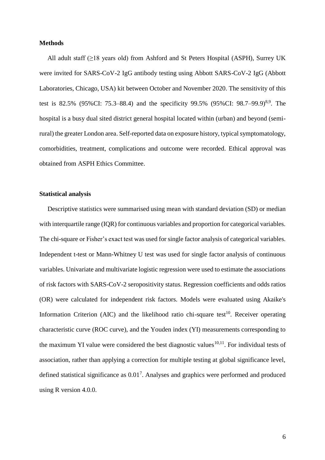#### **Methods**

 All adult staff (≥18 years old) from Ashford and St Peters Hospital (ASPH), Surrey UK were invited for SARS-CoV-2 IgG antibody testing using Abbott SARS-CoV-2 IgG (Abbott Laboratories, Chicago, USA) kit between October and November 2020. The sensitivity of this test is 82.5% (95%CI: 75.3–88.4) and the specificity 99.5% (95%CI: 98.7–99.9)<sup>8,9</sup>. The hospital is a busy dual sited district general hospital located within (urban) and beyond (semirural) the greater London area. Self-reported data on exposure history, typical symptomatology, comorbidities, treatment, complications and outcome were recorded. Ethical approval was obtained from ASPH Ethics Committee.

#### **Statistical analysis**

 Descriptive statistics were summarised using mean with standard deviation (SD) or median with interquartile range (IQR) for continuous variables and proportion for categorical variables. The chi-square or Fisher's exact test was used for single factor analysis of categorical variables. Independent t-test or Mann-Whitney U test was used for single factor analysis of continuous variables. Univariate and multivariate logistic regression were used to estimate the associations of risk factors with SARS-CoV-2 seropositivity status. Regression coefficients and odds ratios (OR) were calculated for independent risk factors. Models were evaluated using Akaike's Information Criterion (AIC) and the likelihood ratio chi-square test<sup>10</sup>. Receiver operating characteristic curve (ROC curve), and the Youden index (YI) measurements corresponding to the maximum YI value were considered the best diagnostic values  $10,11$ . For individual tests of association, rather than applying a correction for multiple testing at global significance level, defined statistical significance as  $0.01<sup>7</sup>$ . Analyses and graphics were performed and produced using R version 4.0.0.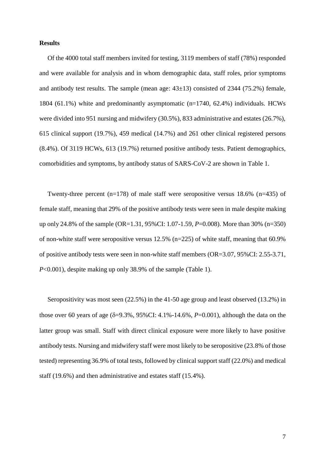#### **Results**

 Of the 4000 total staff members invited for testing, 3119 members of staff (78%) responded and were available for analysis and in whom demographic data, staff roles, prior symptoms and antibody test results. The sample (mean age:  $43\pm13$ ) consisted of 2344 (75.2%) female, 1804 (61.1%) white and predominantly asymptomatic (n=1740, 62.4%) individuals. HCWs were divided into 951 nursing and midwifery (30.5%), 833 administrative and estates (26.7%), 615 clinical support (19.7%), 459 medical (14.7%) and 261 other clinical registered persons (8.4%). Of 3119 HCWs, 613 (19.7%) returned positive antibody tests. Patient demographics, comorbidities and symptoms, by antibody status of SARS-CoV-2 are shown in Table 1.

Twenty-three percent  $(n=178)$  of male staff were seropositive versus 18.6%  $(n=435)$  of female staff, meaning that 29% of the positive antibody tests were seen in male despite making up only 24.8% of the sample (OR=1.31, 95%CI: 1.07-1.59, *P*=0.008). More than 30% (n=350) of non-white staff were seropositive versus 12.5% (n=225) of white staff, meaning that 60.9% of positive antibody tests were seen in non-white staff members (OR=3.07, 95%CI: 2.55-3.71, *P*<0.001), despite making up only 38.9% of the sample (Table 1).

 Seropositivity was most seen (22.5%) in the 41-50 age group and least observed (13.2%) in those over 60 years of age  $(\delta = 9.3\%, 95\%$ CI: 4.1%-14.6%, *P*=0.001), although the data on the latter group was small. Staff with direct clinical exposure were more likely to have positive antibody tests. Nursing and midwifery staff were most likely to be seropositive (23.8% of those tested) representing 36.9% of total tests, followed by clinical support staff (22.0%) and medical staff (19.6%) and then administrative and estates staff (15.4%).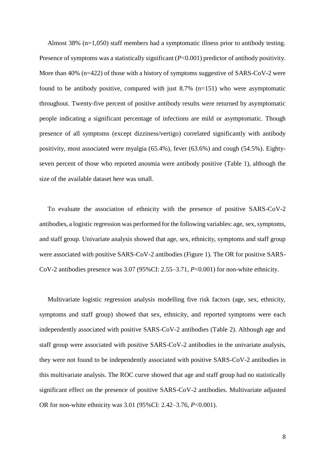Almost 38% (n=1,050) staff members had a symptomatic illness prior to antibody testing. Presence of symptoms was a statistically significant (*P*<0.001) predictor of antibody positivity. More than 40% (n=422) of those with a history of symptoms suggestive of SARS-CoV-2 were found to be antibody positive, compared with just  $8.7\%$  (n=151) who were asymptomatic throughout. Twenty-five percent of positive antibody results were returned by asymptomatic people indicating a significant percentage of infections are mild or asymptomatic. Though presence of all symptoms (except dizziness/vertigo) correlated significantly with antibody positivity, most associated were myalgia (65.4%), fever (63.6%) and cough (54.5%). Eightyseven percent of those who reported anosmia were antibody positive (Table 1), although the size of the available dataset here was small.

 To evaluate the association of ethnicity with the presence of positive SARS-CoV-2 antibodies, a logistic regression was performed for the following variables: age, sex, symptoms, and staff group. Univariate analysis showed that age, sex, ethnicity, symptoms and staff group were associated with positive SARS-CoV-2 antibodies (Figure 1). The OR for positive SARS-CoV-2 antibodies presence was 3.07 (95%CI: 2.55–3.71, *P*<0.001) for non-white ethnicity.

 Multivariate logistic regression analysis modelling five risk factors (age, sex, ethnicity, symptoms and staff group) showed that sex, ethnicity, and reported symptoms were each independently associated with positive SARS-CoV-2 antibodies (Table 2). Although age and staff group were associated with positive SARS-CoV-2 antibodies in the univariate analysis, they were not found to be independently associated with positive SARS-CoV-2 antibodies in this multivariate analysis. The ROC curve showed that age and staff group had no statistically significant effect on the presence of positive SARS-CoV-2 antibodies. Multivariate adjusted OR for non-white ethnicity was 3.01 (95%CI: 2.42–3.76, *P*<0.001).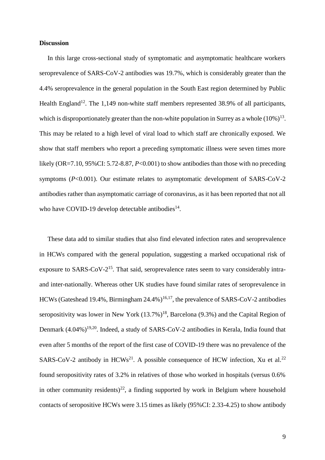#### **Discussion**

 In this large cross-sectional study of symptomatic and asymptomatic healthcare workers seroprevalence of SARS-CoV-2 antibodies was 19.7%, which is considerably greater than the 4.4% seroprevalence in the general population in the South East region determined by Public Health England<sup>12</sup>. The 1,149 non-white staff members represented 38.9% of all participants, which is disproportionately greater than the non-white population in Surrey as a whole  $(10\%)^{13}$ . This may be related to a high level of viral load to which staff are chronically exposed. We show that staff members who report a preceding symptomatic illness were seven times more likely (OR=7.10, 95%CI: 5.72-8.87, *P*<0.001) to show antibodies than those with no preceding symptoms (*P*<0.001). Our estimate relates to asymptomatic development of SARS-CoV-2 antibodies rather than asymptomatic carriage of coronavirus, as it has been reported that not all who have COVID-19 develop detectable antibodies $^{14}$ .

 These data add to similar studies that also find elevated infection rates and seroprevalence in HCWs compared with the general population, suggesting a marked occupational risk of exposure to SARS-CoV- $2^{15}$ . That said, seroprevalence rates seem to vary considerably intraand inter-nationally. Whereas other UK studies have found similar rates of seroprevalence in HCWs (Gateshead 19.4%, Birmingham  $24.4\%$ )<sup>16,17</sup>, the prevalence of SARS-CoV-2 antibodies seropositivity was lower in New York  $(13.7%)^{18}$ , Barcelona  $(9.3%)$  and the Capital Region of Denmark (4.04%)<sup>19,20</sup>. Indeed, a study of SARS-CoV-2 antibodies in Kerala, India found that even after 5 months of the report of the first case of COVID-19 there was no prevalence of the SARS-CoV-2 antibody in  $HCWs^{21}$ . A possible consequence of HCW infection, Xu et al.<sup>22</sup> found seropositivity rates of 3.2% in relatives of those who worked in hospitals (versus 0.6% in other community residents)<sup>22</sup>, a finding supported by work in Belgium where household contacts of seropositive HCWs were 3.15 times as likely (95%CI: 2.33-4.25) to show antibody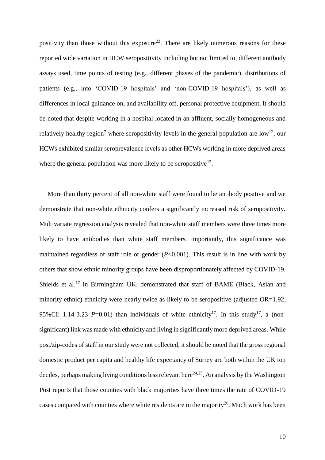positivity than those without this exposure<sup>23</sup>. There are likely numerous reasons for these reported wide variation in HCW seropositivity including but not limited to, different antibody assays used, time points of testing (e.g., different phases of the pandemic), distributions of patients (e.g., into 'COVID-19 hospitals' and 'non-COVID-19 hospitals'), as well as differences in local guidance on, and availability off, personal protective equipment. It should be noted that despite working in a hospital located in an affluent, socially homogeneous and relatively healthy region<sup>7</sup> where seropositivity levels in the general population are  $\text{low}^{12}$ , our HCWs exhibited similar seroprevalence levels as other HCWs working in more deprived areas where the general population was more likely to be seropositive<sup>12</sup>.

 More than thirty percent of all non-white staff were found to be antibody positive and we demonstrate that non-white ethnicity confers a significantly increased risk of seropositivity. Multivariate regression analysis revealed that non-white staff members were three times more likely to have antibodies than white staff members. Importantly, this significance was maintained regardless of staff role or gender (*P*<0.001). This result is in line with work by others that show ethnic minority groups have been disproportionately affected by COVID-19. Shields et al.<sup>17</sup> in Birmingham UK, demonstrated that staff of BAME (Black, Asian and minority ethnic) ethnicity were nearly twice as likely to be seropositive (adjusted OR=1.92, 95%CI: 1.14-3.23  $P=0.01$ ) than individuals of white ethnicity<sup>17</sup>. In this study<sup>17</sup>, a (nonsignificant) link was made with ethnicity and living in significantly more deprived areas. While post/zip-codes of staff in our study were not collected, it should be noted that the gross regional domestic product per capita and healthy life expectancy of Surrey are both within the UK top deciles, perhaps making living conditions less relevant here<sup>24,25</sup>. An analysis by the Washington Post reports that those counties with black majorities have three times the rate of COVID-19 cases compared with counties where white residents are in the majority<sup>26</sup>. Much work has been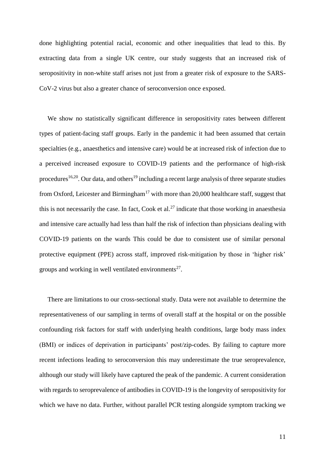done highlighting potential racial, economic and other inequalities that lead to this. By extracting data from a single UK centre, our study suggests that an increased risk of seropositivity in non-white staff arises not just from a greater risk of exposure to the SARS-CoV-2 virus but also a greater chance of seroconversion once exposed.

 We show no statistically significant difference in seropositivity rates between different types of patient-facing staff groups. Early in the pandemic it had been assumed that certain specialties (e.g., anaesthetics and intensive care) would be at increased risk of infection due to a perceived increased exposure to COVID-19 patients and the performance of high-risk procedures<sup>16,20</sup>. Our data, and others<sup>19</sup> including a recent large analysis of three separate studies from Oxford, Leicester and Birmingham<sup>17</sup> with more than 20,000 healthcare staff, suggest that this is not necessarily the case. In fact, Cook et al.<sup>27</sup> indicate that those working in anaesthesia and intensive care actually had less than half the risk of infection than physicians dealing with COVID-19 patients on the wards This could be due to consistent use of similar personal protective equipment (PPE) across staff, improved risk-mitigation by those in 'higher risk' groups and working in well ventilated environments<sup>27</sup>.

 There are limitations to our cross-sectional study. Data were not available to determine the representativeness of our sampling in terms of overall staff at the hospital or on the possible confounding risk factors for staff with underlying health conditions, large body mass index (BMI) or indices of deprivation in participants' post/zip-codes. By failing to capture more recent infections leading to seroconversion this may underestimate the true seroprevalence, although our study will likely have captured the peak of the pandemic. A current consideration with regards to seroprevalence of antibodies in COVID-19 is the longevity of seropositivity for which we have no data. Further, without parallel PCR testing alongside symptom tracking we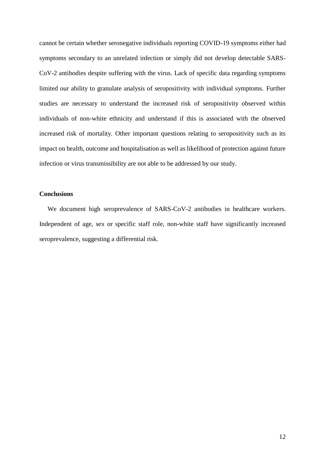cannot be certain whether seronegative individuals reporting COVID-19 symptoms either had symptoms secondary to an unrelated infection or simply did not develop detectable SARS-CoV-2 antibodies despite suffering with the virus. Lack of specific data regarding symptoms limited our ability to granulate analysis of seropositivity with individual symptoms. Further studies are necessary to understand the increased risk of seropositivity observed within individuals of non-white ethnicity and understand if this is associated with the observed increased risk of mortality. Other important questions relating to seropositivity such as its impact on health, outcome and hospitalisation as well as likelihood of protection against future infection or virus transmissibility are not able to be addressed by our study.

#### **Conclusions**

 We document high seroprevalence of SARS-CoV-2 antibodies in healthcare workers. Independent of age, sex or specific staff role, non-white staff have significantly increased seroprevalence, suggesting a differential risk.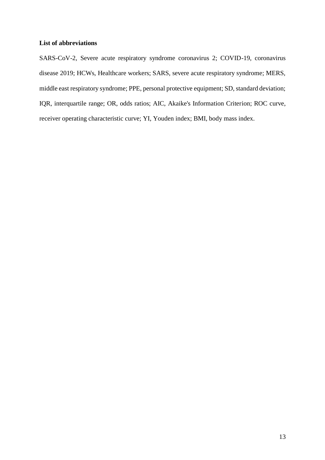#### **List of abbreviations**

SARS-CoV-2, Severe acute respiratory syndrome coronavirus 2; COVID-19, coronavirus disease 2019; HCWs, Healthcare workers; SARS, severe acute respiratory syndrome; MERS, middle east respiratory syndrome; PPE, personal protective equipment; SD, standard deviation; IQR, interquartile range; OR, odds ratios; AIC, Akaike's Information Criterion; ROC curve, receiver operating characteristic curve; YI, Youden index; BMI, body mass index.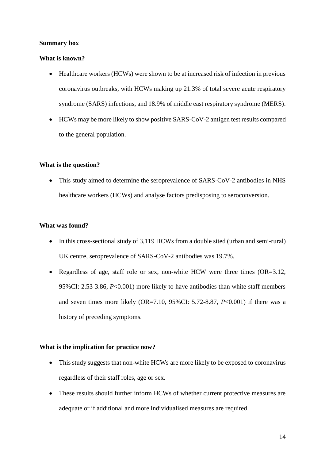#### **Summary box**

#### **What is known?**

- Healthcare workers (HCWs) were shown to be at increased risk of infection in previous coronavirus outbreaks, with HCWs making up 21.3% of total severe acute respiratory syndrome (SARS) infections, and 18.9% of middle east respiratory syndrome (MERS).
- HCWs may be more likely to show positive SARS-CoV-2 antigen test results compared to the general population.

#### **What is the question?**

• This study aimed to determine the seroprevalence of SARS-CoV-2 antibodies in NHS healthcare workers (HCWs) and analyse factors predisposing to seroconversion.

#### **What was found?**

- In this cross-sectional study of 3,119 HCWs from a double sited (urban and semi-rural) UK centre, seroprevalence of SARS-CoV-2 antibodies was 19.7%.
- Regardless of age, staff role or sex, non-white HCW were three times (OR=3.12, 95%CI: 2.53-3.86, *P*<0.001) more likely to have antibodies than white staff members and seven times more likely (OR=7.10, 95%CI: 5.72-8.87, *P*<0.001) if there was a history of preceding symptoms.

#### **What is the implication for practice now?**

- This study suggests that non-white HCWs are more likely to be exposed to coronavirus regardless of their staff roles, age or sex.
- These results should further inform HCWs of whether current protective measures are adequate or if additional and more individualised measures are required.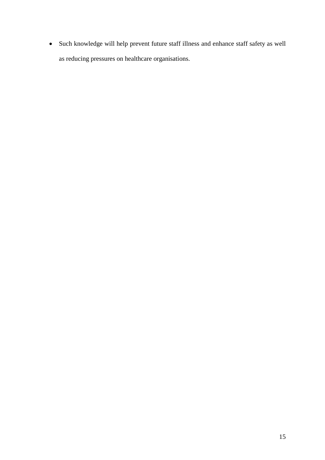Such knowledge will help prevent future staff illness and enhance staff safety as well as reducing pressures on healthcare organisations.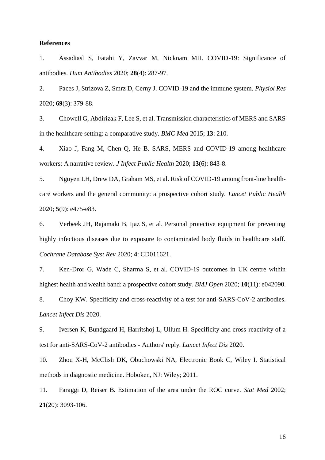#### **References**

1. Assadiasl S, Fatahi Y, Zavvar M, Nicknam MH. COVID-19: Significance of antibodies. *Hum Antibodies* 2020; **28**(4): 287-97.

2. Paces J, Strizova Z, Smrz D, Cerny J. COVID-19 and the immune system. *Physiol Res* 2020; **69**(3): 379-88.

3. Chowell G, Abdirizak F, Lee S, et al. Transmission characteristics of MERS and SARS in the healthcare setting: a comparative study. *BMC Med* 2015; **13**: 210.

4. Xiao J, Fang M, Chen Q, He B. SARS, MERS and COVID-19 among healthcare workers: A narrative review. *J Infect Public Health* 2020; **13**(6): 843-8.

5. Nguyen LH, Drew DA, Graham MS, et al. Risk of COVID-19 among front-line healthcare workers and the general community: a prospective cohort study. *Lancet Public Health* 2020; **5**(9): e475-e83.

6. Verbeek JH, Rajamaki B, Ijaz S, et al. Personal protective equipment for preventing highly infectious diseases due to exposure to contaminated body fluids in healthcare staff. *Cochrane Database Syst Rev* 2020; **4**: CD011621.

7. Ken-Dror G, Wade C, Sharma S, et al. COVID-19 outcomes in UK centre within highest health and wealth band: a prospective cohort study. *BMJ Open* 2020; **10**(11): e042090.

8. Choy KW. Specificity and cross-reactivity of a test for anti-SARS-CoV-2 antibodies. *Lancet Infect Dis* 2020.

9. Iversen K, Bundgaard H, Harritshoj L, Ullum H. Specificity and cross-reactivity of a test for anti-SARS-CoV-2 antibodies - Authors' reply. *Lancet Infect Dis* 2020.

10. Zhou X-H, McClish DK, Obuchowski NA, Electronic Book C, Wiley I. Statistical methods in diagnostic medicine. Hoboken, NJ: Wiley; 2011.

11. Faraggi D, Reiser B. Estimation of the area under the ROC curve. *Stat Med* 2002; **21**(20): 3093-106.

16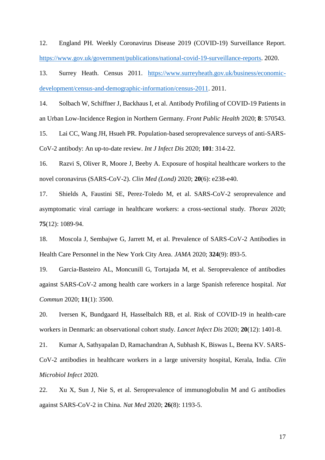12. England PH. Weekly Coronavirus Disease 2019 (COVID-19) Surveillance Report. [https://www.gov.uk/government/publications/national-covid-19-surveillance-reports.](https://www.gov.uk/government/publications/national-covid-19-surveillance-reports) 2020.

13. Surrey Heath. Census 2011. [https://www.surreyheath.gov.uk/business/economic](https://www.surreyheath.gov.uk/business/economic-development/census-and-demographic-information/census-2011)[development/census-and-demographic-information/census-2011.](https://www.surreyheath.gov.uk/business/economic-development/census-and-demographic-information/census-2011) 2011.

14. Solbach W, Schiffner J, Backhaus I, et al. Antibody Profiling of COVID-19 Patients in an Urban Low-Incidence Region in Northern Germany. *Front Public Health* 2020; **8**: 570543.

15. Lai CC, Wang JH, Hsueh PR. Population-based seroprevalence surveys of anti-SARS-CoV-2 antibody: An up-to-date review. *Int J Infect Dis* 2020; **101**: 314-22.

16. Razvi S, Oliver R, Moore J, Beeby A. Exposure of hospital healthcare workers to the novel coronavirus (SARS-CoV-2). *Clin Med (Lond)* 2020; **20**(6): e238-e40.

17. Shields A, Faustini SE, Perez-Toledo M, et al. SARS-CoV-2 seroprevalence and asymptomatic viral carriage in healthcare workers: a cross-sectional study. *Thorax* 2020; **75**(12): 1089-94.

18. Moscola J, Sembajwe G, Jarrett M, et al. Prevalence of SARS-CoV-2 Antibodies in Health Care Personnel in the New York City Area. *JAMA* 2020; **324**(9): 893-5.

19. Garcia-Basteiro AL, Moncunill G, Tortajada M, et al. Seroprevalence of antibodies against SARS-CoV-2 among health care workers in a large Spanish reference hospital. *Nat Commun* 2020; **11**(1): 3500.

20. Iversen K, Bundgaard H, Hasselbalch RB, et al. Risk of COVID-19 in health-care workers in Denmark: an observational cohort study. *Lancet Infect Dis* 2020; **20**(12): 1401-8.

21. Kumar A, Sathyapalan D, Ramachandran A, Subhash K, Biswas L, Beena KV. SARS-CoV-2 antibodies in healthcare workers in a large university hospital, Kerala, India. *Clin Microbiol Infect* 2020.

22. Xu X, Sun J, Nie S, et al. Seroprevalence of immunoglobulin M and G antibodies against SARS-CoV-2 in China. *Nat Med* 2020; **26**(8): 1193-5.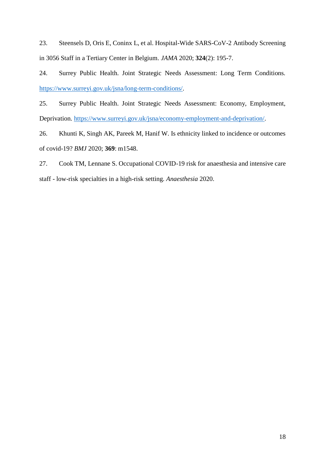23. Steensels D, Oris E, Coninx L, et al. Hospital-Wide SARS-CoV-2 Antibody Screening in 3056 Staff in a Tertiary Center in Belgium. *JAMA* 2020; **324**(2): 195-7.

24. Surrey Public Health. Joint Strategic Needs Assessment: Long Term Conditions. [https://www.surreyi.gov.uk/jsna/long-term-conditions/.](https://www.surreyi.gov.uk/jsna/long-term-conditions/)

25. Surrey Public Health. Joint Strategic Needs Assessment: Economy, Employment, Deprivation. [https://www.surreyi.gov.uk/jsna/economy-employment-and-deprivation/.](https://www.surreyi.gov.uk/jsna/economy-employment-and-deprivation/)

26. Khunti K, Singh AK, Pareek M, Hanif W. Is ethnicity linked to incidence or outcomes of covid-19? *BMJ* 2020; **369**: m1548.

27. Cook TM, Lennane S. Occupational COVID-19 risk for anaesthesia and intensive care staff - low-risk specialties in a high-risk setting. *Anaesthesia* 2020.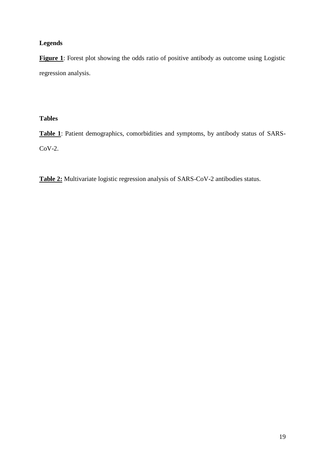## **Legends**

**Figure 1**: Forest plot showing the odds ratio of positive antibody as outcome using Logistic regression analysis.

# **Tables**

**Table 1**: Patient demographics, comorbidities and symptoms, by antibody status of SARS-CoV-2.

**Table 2:** Multivariate logistic regression analysis of SARS-CoV-2 antibodies status.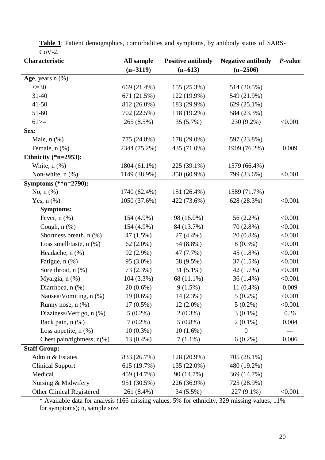| Characteristic                  | All sample   | <b>Positive antibody</b> | <b>Negative antibody</b> | P-value |
|---------------------------------|--------------|--------------------------|--------------------------|---------|
|                                 | $(n=3119)$   | $(n=613)$                | $(n=2506)$               |         |
| Age, years $n$ $(\%)$           |              |                          |                          |         |
| $\leq$ =30                      | 669 (21.4%)  | 155 (25.3%)              | 514 (20.5%)              |         |
| $31 - 40$                       | 671 (21.5%)  | 122 (19.9%)              | 549 (21.9%)              |         |
| $41 - 50$                       | 812 (26.0%)  | 183 (29.9%)              | 629 (25.1%)              |         |
| 51-60                           | 702 (22.5%)  | 118 (19.2%)              | 584 (23.3%)              |         |
| $61>=$                          | 265 (8.5%)   | 35 (5.7%)                | 230 (9.2%)               | < 0.001 |
| Sex:                            |              |                          |                          |         |
| Male, $n$ $(\%)$                | 775 (24.8%)  | 178 (29.0%)              | 597 (23.8%)              |         |
| Female, $n$ $(\%)$              | 2344 (75.2%) | 435 (71.0%)              | 1909 (76.2%)             | 0.009   |
| Ethnicity $(*n=2953):$          |              |                          |                          |         |
| White, $n$ $(\%)$               | 1804 (61.1%) | 225 (39.1%)              | 1579 (66.4%)             |         |
| Non-white, n (%)                | 1149 (38.9%) | 350 (60.9%)              | 799 (33.6%)              | < 0.001 |
| Symptoms $(*\nnap{$*$}n=2790):$ |              |                          |                          |         |
| No, $n$ $(\%)$                  | 1740 (62.4%) | 151 (26.4%)              | 1589 (71.7%)             |         |
| Yes, $n$ $(\%)$                 | 1050 (37.6%) | 422 (73.6%)              | 628 (28.3%)              | < 0.001 |
| <b>Symptoms:</b>                |              |                          |                          |         |
| Fever, $n$ $(\%)$               | 154 (4.9%)   | 98 (16.0%)               | 56 (2.2%)                | < 0.001 |
| Cough, $n$ $(\%)$               | 154 (4.9%)   | 84 (13.7%)               | 70 (2.8%)                | < 0.001 |
| Shortness breath, n (%)         | 47 (1.5%)    | 27 (4.4%)                | $20(0.8\%)$              | < 0.001 |
| Loss smell/taste, $n$ (%)       | 62 $(2.0\%)$ | 54 (8.8%)                | $8(0.3\%)$               | < 0.001 |
| Headache, $n$ $(\%)$            | 92 (2.9%)    | 47 (7.7%)                | 45 (1.8%)                | < 0.001 |
| Fatigue, n (%)                  | 95 (3.0%)    | 58 (9.5%)                | 37(1.5%)                 | < 0.001 |
| Sore throat, n (%)              | 73 (2.3%)    | $31(5.1\%)$              | 42 (1.7%)                | < 0.001 |
| Myalgia, n (%)                  | 104 (3.3%)   | 68 (11.1%)               | $36(1.4\%)$              | < 0.001 |
| Diarrhoea, n (%)                | $20(0.6\%)$  | $9(1.5\%)$               | $11(0.4\%)$              | 0.009   |
| Nausea/Vomiting, n (%)          | $19(0.6\%)$  | $14(2.3\%)$              | $5(0.2\%)$               | < 0.001 |
| Runny nose, $n$ $(\%)$          | $17(0.5\%)$  | $12(2.0\%)$              | $5(0.2\%)$               | < 0.001 |
| Dizziness/Vertigo, n (%)        | $5(0.2\%)$   | $2(0.3\%)$               | $3(0.1\%)$               | 0.26    |
| Back pain, n (%)                | $7(0.2\%)$   | $5(0.8\%)$               | $2(0.1\%)$               | 0.004   |
| Loss appetite, $n$ $(\%)$       | $10(0.3\%)$  | $10(1.6\%)$              | $\overline{0}$           |         |
| Chest pain/tightness, $n(\%)$   | $13(0.4\%)$  | $7(1.1\%)$               | $6(0.2\%)$               | 0.006   |
| <b>Staff Group:</b>             |              |                          |                          |         |
| Admin & Estates                 | 833 (26.7%)  | 128 (20.9%)              | 705 (28.1%)              |         |
| <b>Clinical Support</b>         | 615 (19.7%)  | 135 (22.0%)              | 480 (19.2%)              |         |
| Medical                         | 459 (14.7%)  | 90 (14.7%)               | 369 (14.7%)              |         |
| Nursing & Midwifery             | 951 (30.5%)  | 226 (36.9%)              | 725 (28.9%)              |         |
| Other Clinical Registered       | 261 (8.4%)   | 34 (5.5%)                | 227 (9.1%)               | < 0.001 |

**Table 1**: Patient demographics, comorbidities and symptoms, by antibody status of SARS- $\overline{Cov-2}$ .

\* Available data for analysis (166 missing values, 5% for ethnicity, 329 missing values, 11% for symptoms); n, sample size.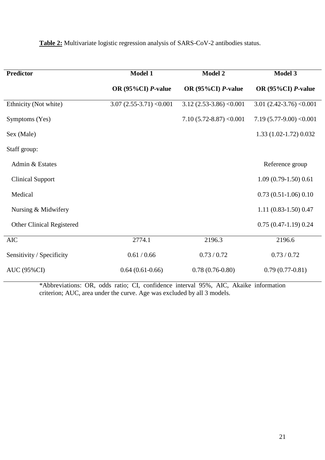| <b>Predictor</b>          | Model 1                   | <b>Model 2</b>              | Model 3                       |
|---------------------------|---------------------------|-----------------------------|-------------------------------|
|                           |                           |                             |                               |
|                           | OR (95%CI) P-value        | OR (95%CI) P-value          | OR $(95\%CI)$ <i>P</i> -value |
| Ethnicity (Not white)     | $3.07(2.55-3.71)$ < 0.001 | $3.12$ (2.53-3.86) < 0.001  | $3.01$ (2.42-3.76) < 0.001    |
| Symptoms (Yes)            |                           | $7.10(5.72 - 8.87) < 0.001$ | $7.19(5.77-9.00) < 0.001$     |
| Sex (Male)                |                           |                             | 1.33 (1.02-1.72) 0.032        |
| Staff group:              |                           |                             |                               |
| Admin & Estates           |                           |                             | Reference group               |
| <b>Clinical Support</b>   |                           |                             | $1.09(0.79-1.50)0.61$         |
| Medical                   |                           |                             | $0.73(0.51-1.06)0.10$         |
| Nursing & Midwifery       |                           |                             | $1.11(0.83-1.50)0.47$         |
| Other Clinical Registered |                           |                             | $0.75(0.47-1.19)0.24$         |
| <b>AIC</b>                | 2774.1                    | 2196.3                      | 2196.6                        |
| Sensitivity / Specificity | 0.61 / 0.66               | 0.73 / 0.72                 | 0.73 / 0.72                   |
| <b>AUC (95%CI)</b>        | $0.64(0.61-0.66)$         | $0.78(0.76-0.80)$           | $0.79(0.77-0.81)$             |

### **Table 2:** Multivariate logistic regression analysis of SARS-CoV-2 antibodies status.

\*Abbreviations: OR, odds ratio; CI, confidence interval 95%, AIC, Akaike information criterion; AUC, area under the curve. Age was excluded by all 3 models.